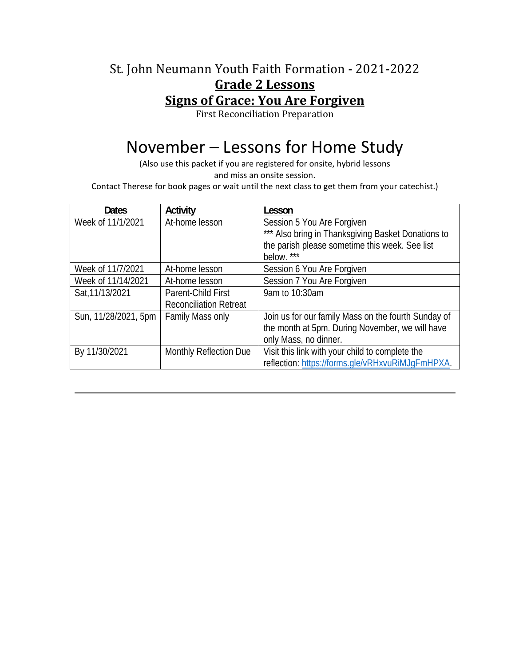### St. John Neumann Youth Faith Formation - 2021-2022 **Grade 2 Lessons Signs of Grace: You Are Forgiven**

First Reconciliation Preparation

# November – Lessons for Home Study

(Also use this packet if you are registered for onsite, hybrid lessons and miss an onsite session.

Contact Therese for book pages or wait until the next class to get them from your catechist.)

| <b>Dates</b>         | Activity                      | Lesson                                              |
|----------------------|-------------------------------|-----------------------------------------------------|
| Week of 11/1/2021    | At-home lesson                | Session 5 You Are Forgiven                          |
|                      |                               | *** Also bring in Thanksgiving Basket Donations to  |
|                      |                               | the parish please sometime this week. See list      |
|                      |                               | below.                                              |
| Week of 11/7/2021    | At-home lesson                | Session 6 You Are Forgiven                          |
| Week of 11/14/2021   | At-home lesson                | Session 7 You Are Forgiven                          |
| Sat, 11/13/2021      | Parent-Child First            | 9am to 10:30am                                      |
|                      | <b>Reconciliation Retreat</b> |                                                     |
| Sun, 11/28/2021, 5pm | Family Mass only              | Join us for our family Mass on the fourth Sunday of |
|                      |                               | the month at 5pm. During November, we will have     |
|                      |                               | only Mass, no dinner.                               |
| By 11/30/2021        | Monthly Reflection Due        | Visit this link with your child to complete the     |
|                      |                               | reflection: https://forms.gle/vRHxvuRiMJqFmHPXA.    |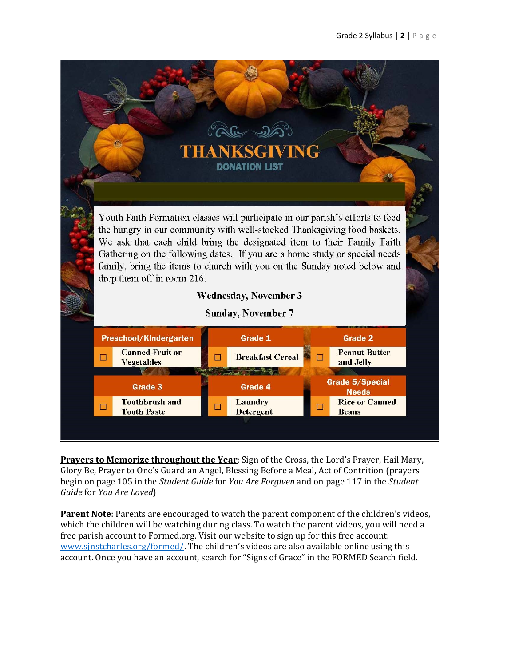

**Prayers to Memorize throughout the Year**: Sign of the Cross, the Lord's Prayer, Hail Mary, Glory Be, Prayer to One's Guardian Angel, Blessing Before a Meal, Act of Contrition (prayers begin on page 105 in the *Student Guide* for *You Are Forgiven* and on page 117 in the *Student Guide* for *You Are Loved*)

**Parent Note**: Parents are encouraged to watch the parent component of the children's videos, which the children will be watching during class. To watch the parent videos, you will need a free parish account to Formed.org. Visit our website to sign up for this free account: www.sjnstcharles.org/formed/. The children's videos are also available online using this account. Once you have an account, search for "Signs of Grace" in the FORMED Search field.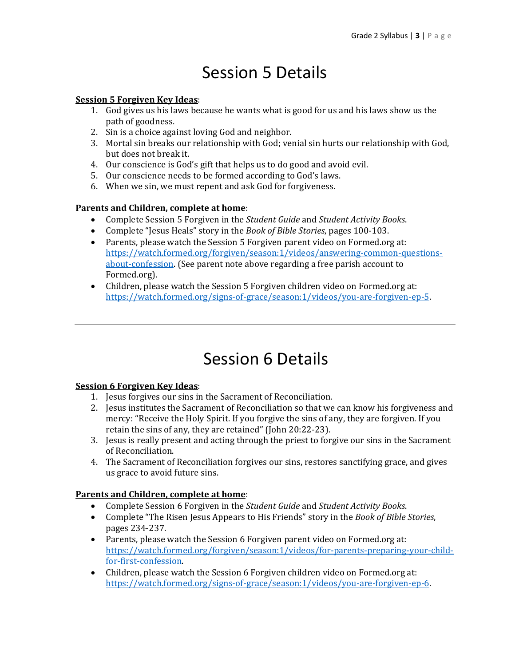# Session 5 Details

#### **Session 5 Forgiven Key Ideas**:

- 1. God gives us his laws because he wants what is good for us and his laws show us the path of goodness.
- 2. Sin is a choice against loving God and neighbor.
- 3. Mortal sin breaks our relationship with God; venial sin hurts our relationship with God, but does not break it.
- 4. Our conscience is God's gift that helps us to do good and avoid evil.
- 5. Our conscience needs to be formed according to God's laws.
- 6. When we sin, we must repent and ask God for forgiveness.

#### **Parents and Children, complete at home**:

- Complete Session 5 Forgiven in the *Student Guide* and *Student Activity Books*.
- Complete "Jesus Heals" story in the *Book of Bible Stories*, pages 100-103.
- Parents, please watch the Session 5 Forgiven parent video on Formed.org at: https://watch.formed.org/forgiven/season:1/videos/answering-common-questionsabout-confession. (See parent note above regarding a free parish account to Formed.org).
- Children, please watch the Session 5 Forgiven children video on Formed.org at: https://watch.formed.org/signs-of-grace/season:1/videos/you-are-forgiven-ep-5.

### Session 6 Details

#### **Session 6 Forgiven Key Ideas**:

- 1. Jesus forgives our sins in the Sacrament of Reconciliation.
- 2. Jesus institutes the Sacrament of Reconciliation so that we can know his forgiveness and mercy: "Receive the Holy Spirit. If you forgive the sins of any, they are forgiven. If you retain the sins of any, they are retained" (John 20:22-23).
- 3. Jesus is really present and acting through the priest to forgive our sins in the Sacrament of Reconciliation.
- 4. The Sacrament of Reconciliation forgives our sins, restores sanctifying grace, and gives us grace to avoid future sins.

#### **Parents and Children, complete at home**:

- Complete Session 6 Forgiven in the *Student Guide* and *Student Activity Books*.
- Complete "The Risen Jesus Appears to His Friends" story in the *Book of Bible Stories*, pages 234-237.
- Parents, please watch the Session 6 Forgiven parent video on Formed.org at: https://watch.formed.org/forgiven/season:1/videos/for-parents-preparing-your-childfor-first-confession.
- Children, please watch the Session 6 Forgiven children video on Formed.org at: https://watch.formed.org/signs-of-grace/season:1/videos/you-are-forgiven-ep-6.